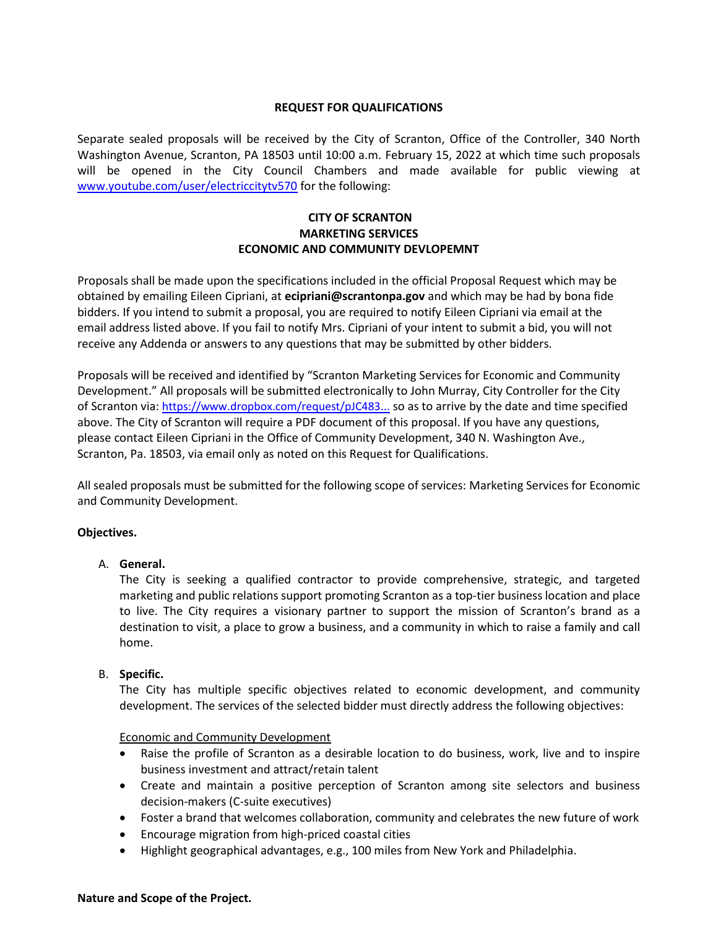#### **REQUEST FOR QUALIFICATIONS**

Separate sealed proposals will be received by the City of Scranton, Office of the Controller, 340 North Washington Avenue, Scranton, PA 18503 until 10:00 a.m. February 15, 2022 at which time such proposals will be opened in the City Council Chambers and made available for public viewing at [www.youtube.com/user/electriccitytv570](http://www.youtube.com/user/electriccitytv570) for the following:

## **CITY OF SCRANTON MARKETING SERVICES ECONOMIC AND COMMUNITY DEVLOPEMNT**

Proposals shall be made upon the specifications included in the official Proposal Request which may be obtained by emailing Eileen Cipriani, at **ecipriani@scrantonpa.gov** and which may be had by bona fide bidders. If you intend to submit a proposal, you are required to notify Eileen Cipriani via email at the email address listed above. If you fail to notify Mrs. Cipriani of your intent to submit a bid, you will not receive any Addenda or answers to any questions that may be submitted by other bidders.

Proposals will be received and identified by "Scranton Marketing Services for Economic and Community Development." All proposals will be submitted electronically to John Murray, City Controller for the City of Scranton via: [https://www.dropbox.com/request/pJC483...](https://gcc02.safelinks.protection.outlook.com/?url=https%3A%2F%2Fwww.dropbox.com%2Frequest%2FpJC483V8IBjD6HePXpBD&data=04%7C01%7Cecipriani%40scrantonpa.gov%7C19757f6be0dd456e1e9408d9e0de3869%7Ca96cfbde31fe4595b13d5748e25a8c01%7C1%7C0%7C637788067316998187%7CUnknown%7CTWFpbGZsb3d8eyJWIjoiMC4wLjAwMDAiLCJQIjoiV2luMzIiLCJBTiI6Ik1haWwiLCJXVCI6Mn0%3D%7C3000&sdata=olpwBNhWGnEVYGUJPir6kxfjvdAA5fwkh3DmSyWkN3Y%3D&reserved=0) so as to arrive by the date and time specified above. The City of Scranton will require a PDF document of this proposal. If you have any questions, please contact Eileen Cipriani in the Office of Community Development, 340 N. Washington Ave., Scranton, Pa. 18503, via email only as noted on this Request for Qualifications.

All sealed proposals must be submitted for the following scope of services: Marketing Services for Economic and Community Development.

### **Objectives.**

### A. **General.**

The City is seeking a qualified contractor to provide comprehensive, strategic, and targeted marketing and public relations support promoting Scranton as a top-tier business location and place to live. The City requires a visionary partner to support the mission of Scranton's brand as a destination to visit, a place to grow a business, and a community in which to raise a family and call home.

#### B. **Specific.**

The City has multiple specific objectives related to economic development, and community development. The services of the selected bidder must directly address the following objectives:

#### Economic and Community Development

- Raise the profile of Scranton as a desirable location to do business, work, live and to inspire business investment and attract/retain talent
- Create and maintain a positive perception of Scranton among site selectors and business decision-makers (C-suite executives)
- Foster a brand that welcomes collaboration, community and celebrates the new future of work
- Encourage migration from high-priced coastal cities
- Highlight geographical advantages, e.g., 100 miles from New York and Philadelphia.

#### **Nature and Scope of the Project.**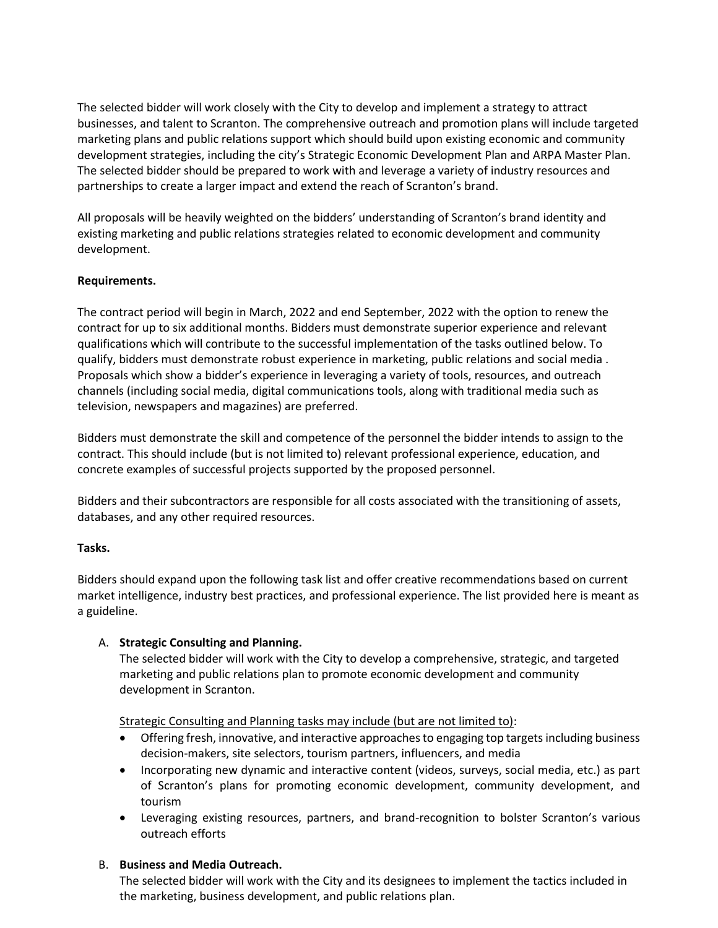The selected bidder will work closely with the City to develop and implement a strategy to attract businesses, and talent to Scranton. The comprehensive outreach and promotion plans will include targeted marketing plans and public relations support which should build upon existing economic and community development strategies, including the city's Strategic Economic Development Plan and ARPA Master Plan. The selected bidder should be prepared to work with and leverage a variety of industry resources and partnerships to create a larger impact and extend the reach of Scranton's brand.

All proposals will be heavily weighted on the bidders' understanding of Scranton's brand identity and existing marketing and public relations strategies related to economic development and community development.

# **Requirements.**

The contract period will begin in March, 2022 and end September, 2022 with the option to renew the contract for up to six additional months. Bidders must demonstrate superior experience and relevant qualifications which will contribute to the successful implementation of the tasks outlined below. To qualify, bidders must demonstrate robust experience in marketing, public relations and social media . Proposals which show a bidder's experience in leveraging a variety of tools, resources, and outreach channels (including social media, digital communications tools, along with traditional media such as television, newspapers and magazines) are preferred.

Bidders must demonstrate the skill and competence of the personnel the bidder intends to assign to the contract. This should include (but is not limited to) relevant professional experience, education, and concrete examples of successful projects supported by the proposed personnel.

Bidders and their subcontractors are responsible for all costs associated with the transitioning of assets, databases, and any other required resources.

### **Tasks.**

Bidders should expand upon the following task list and offer creative recommendations based on current market intelligence, industry best practices, and professional experience. The list provided here is meant as a guideline.

### A. **Strategic Consulting and Planning.**

The selected bidder will work with the City to develop a comprehensive, strategic, and targeted marketing and public relations plan to promote economic development and community development in Scranton.

Strategic Consulting and Planning tasks may include (but are not limited to):

- Offering fresh, innovative, and interactive approaches to engaging top targets including business decision-makers, site selectors, tourism partners, influencers, and media
- Incorporating new dynamic and interactive content (videos, surveys, social media, etc.) as part of Scranton's plans for promoting economic development, community development, and tourism
- Leveraging existing resources, partners, and brand-recognition to bolster Scranton's various outreach efforts

# B. **Business and Media Outreach.**

The selected bidder will work with the City and its designees to implement the tactics included in the marketing, business development, and public relations plan.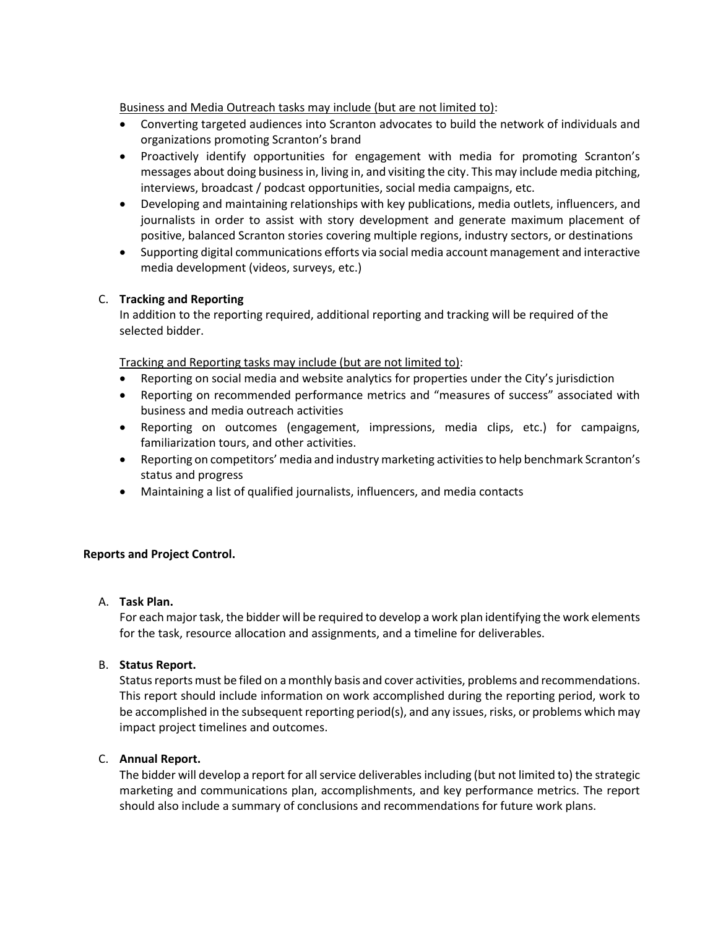Business and Media Outreach tasks may include (but are not limited to):

- Converting targeted audiences into Scranton advocates to build the network of individuals and organizations promoting Scranton's brand
- Proactively identify opportunities for engagement with media for promoting Scranton's messages about doing businessin, living in, and visiting the city. This may include media pitching, interviews, broadcast / podcast opportunities, social media campaigns, etc.
- Developing and maintaining relationships with key publications, media outlets, influencers, and journalists in order to assist with story development and generate maximum placement of positive, balanced Scranton stories covering multiple regions, industry sectors, or destinations
- Supporting digital communications efforts via social media account management and interactive media development (videos, surveys, etc.)

# C. **Tracking and Reporting**

In addition to the reporting required, additional reporting and tracking will be required of the selected bidder.

Tracking and Reporting tasks may include (but are not limited to):

- Reporting on social media and website analytics for properties under the City's jurisdiction
- Reporting on recommended performance metrics and "measures of success" associated with business and media outreach activities
- Reporting on outcomes (engagement, impressions, media clips, etc.) for campaigns, familiarization tours, and other activities.
- Reporting on competitors' media and industry marketing activities to help benchmark Scranton's status and progress
- Maintaining a list of qualified journalists, influencers, and media contacts

### **Reports and Project Control.**

### A. **Task Plan.**

For each major task, the bidder will be required to develop a work plan identifying the work elements for the task, resource allocation and assignments, and a timeline for deliverables.

### B. **Status Report.**

Status reports must be filed on a monthly basis and cover activities, problems and recommendations. This report should include information on work accomplished during the reporting period, work to be accomplished in the subsequent reporting period(s), and any issues, risks, or problems which may impact project timelines and outcomes.

### C. **Annual Report.**

The bidder will develop a report for all service deliverables including (but not limited to) the strategic marketing and communications plan, accomplishments, and key performance metrics. The report should also include a summary of conclusions and recommendations for future work plans.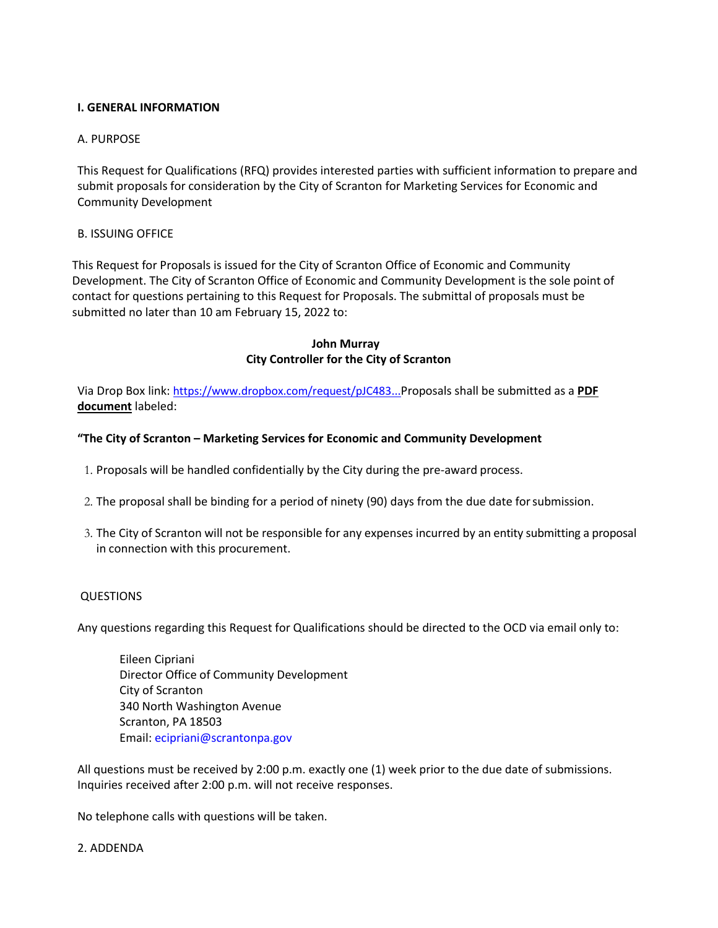### **I. GENERAL INFORMATION**

#### A. PURPOSE

This Request for Qualifications (RFQ) provides interested parties with sufficient information to prepare and submit proposals for consideration by the City of Scranton for Marketing Services for Economic and Community Development

### B. ISSUING OFFICE

This Request for Proposals is issued for the City of Scranton Office of Economic and Community Development. The City of Scranton Office of Economic and Community Development is the sole point of contact for questions pertaining to this Request for Proposals. The submittal of proposals must be submitted no later than 10 am February 15, 2022 to:

#### **John Murray City Controller for the City of Scranton**

Via Drop Box link: [https://www.dropbox.com/request/pJC483...](https://gcc02.safelinks.protection.outlook.com/?url=https%3A%2F%2Fwww.dropbox.com%2Frequest%2FpJC483V8IBjD6HePXpBD&data=04%7C01%7Cecipriani%40scrantonpa.gov%7C19757f6be0dd456e1e9408d9e0de3869%7Ca96cfbde31fe4595b13d5748e25a8c01%7C1%7C0%7C637788067316998187%7CUnknown%7CTWFpbGZsb3d8eyJWIjoiMC4wLjAwMDAiLCJQIjoiV2luMzIiLCJBTiI6Ik1haWwiLCJXVCI6Mn0%3D%7C3000&sdata=olpwBNhWGnEVYGUJPir6kxfjvdAA5fwkh3DmSyWkN3Y%3D&reserved=0)Proposals shall be submitted as a **PDF document** labeled:

#### **"The City of Scranton – Marketing Services for Economic and Community Development**

- 1. Proposals will be handled confidentially by the City during the pre-award process.
- 2. The proposal shall be binding for a period of ninety (90) days from the due date forsubmission.
- 3. The City of Scranton will not be responsible for any expenses incurred by an entity submitting a proposal in connection with this procurement.

#### QUESTIONS

Any questions regarding this Request for Qualifications should be directed to the OCD via email only to:

Eileen Cipriani Director Office of Community Development City of Scranton 340 North Washington Avenue Scranton, PA 18503 Email: ecipriani@scrantonpa.gov

All questions must be received by 2:00 p.m. exactly one (1) week prior to the due date of submissions. Inquiries received after 2:00 p.m. will not receive responses.

No telephone calls with questions will be taken.

#### 2. ADDENDA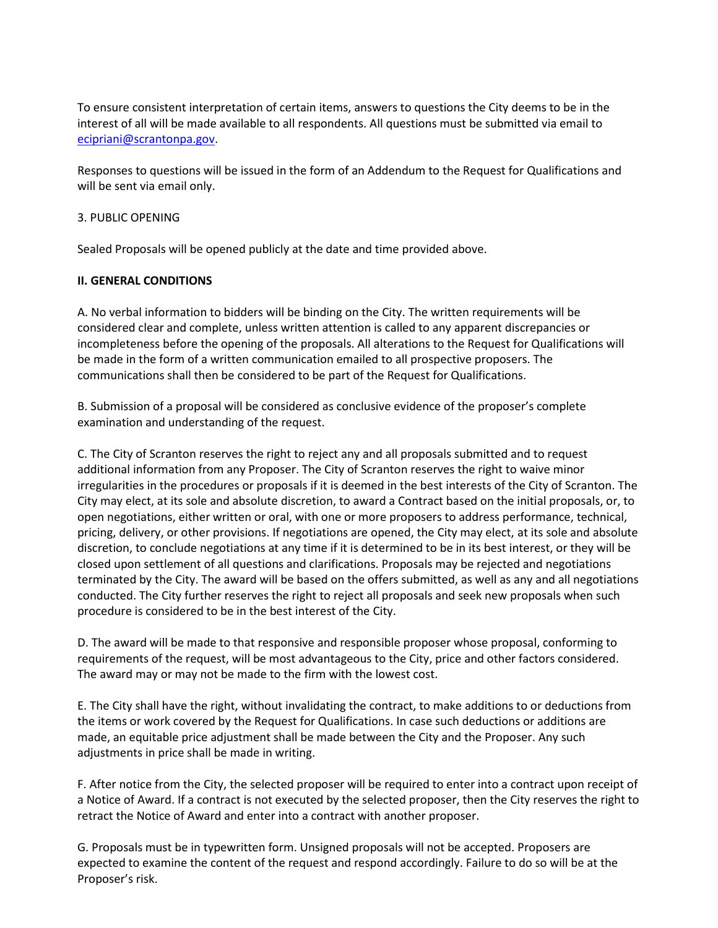To ensure consistent interpretation of certain items, answers to questions the City deems to be in the interest of all will be made available to all respondents. All questions must be submitted via email to [ecipriani@scrantonpa.gov.](mailto:ecipriani@scrantonpa.gov)

Responses to questions will be issued in the form of an Addendum to the Request for Qualifications and will be sent via email only.

### 3. PUBLIC OPENING

Sealed Proposals will be opened publicly at the date and time provided above.

# **II. GENERAL CONDITIONS**

A. No verbal information to bidders will be binding on the City. The written requirements will be considered clear and complete, unless written attention is called to any apparent discrepancies or incompleteness before the opening of the proposals. All alterations to the Request for Qualifications will be made in the form of a written communication emailed to all prospective proposers. The communications shall then be considered to be part of the Request for Qualifications.

B. Submission of a proposal will be considered as conclusive evidence of the proposer's complete examination and understanding of the request.

C. The City of Scranton reserves the right to reject any and all proposals submitted and to request additional information from any Proposer. The City of Scranton reserves the right to waive minor irregularities in the procedures or proposals if it is deemed in the best interests of the City of Scranton. The City may elect, at its sole and absolute discretion, to award a Contract based on the initial proposals, or, to open negotiations, either written or oral, with one or more proposers to address performance, technical, pricing, delivery, or other provisions. If negotiations are opened, the City may elect, at its sole and absolute discretion, to conclude negotiations at any time if it is determined to be in its best interest, or they will be closed upon settlement of all questions and clarifications. Proposals may be rejected and negotiations terminated by the City. The award will be based on the offers submitted, as well as any and all negotiations conducted. The City further reserves the right to reject all proposals and seek new proposals when such procedure is considered to be in the best interest of the City.

D. The award will be made to that responsive and responsible proposer whose proposal, conforming to requirements of the request, will be most advantageous to the City, price and other factors considered. The award may or may not be made to the firm with the lowest cost.

E. The City shall have the right, without invalidating the contract, to make additions to or deductions from the items or work covered by the Request for Qualifications. In case such deductions or additions are made, an equitable price adjustment shall be made between the City and the Proposer. Any such adjustments in price shall be made in writing.

F. After notice from the City, the selected proposer will be required to enter into a contract upon receipt of a Notice of Award. If a contract is not executed by the selected proposer, then the City reserves the right to retract the Notice of Award and enter into a contract with another proposer.

G. Proposals must be in typewritten form. Unsigned proposals will not be accepted. Proposers are expected to examine the content of the request and respond accordingly. Failure to do so will be at the Proposer's risk.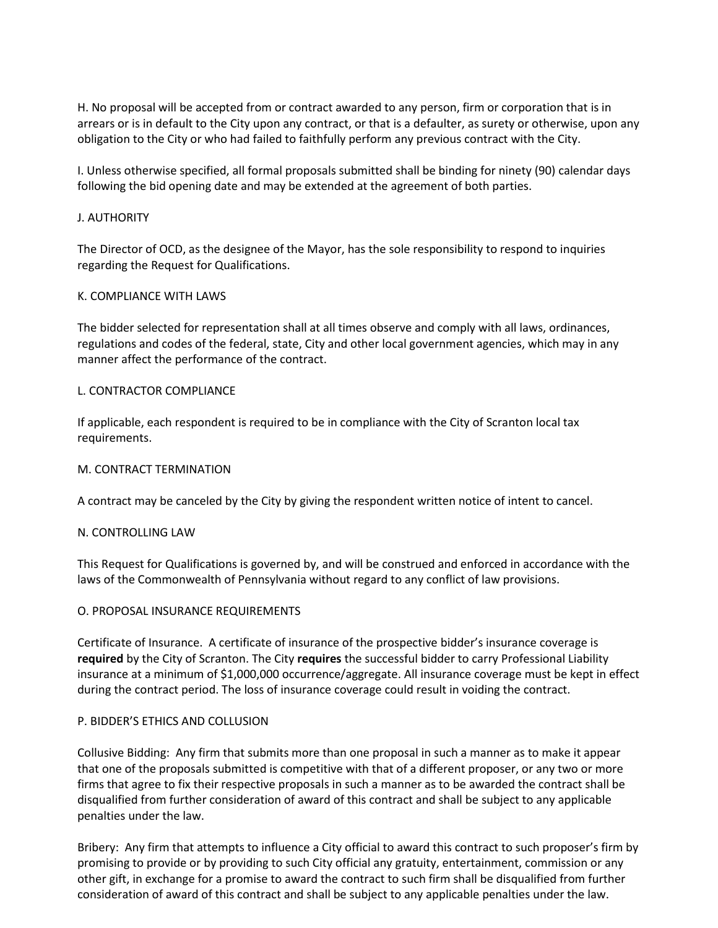H. No proposal will be accepted from or contract awarded to any person, firm or corporation that is in arrears or is in default to the City upon any contract, or that is a defaulter, as surety or otherwise, upon any obligation to the City or who had failed to faithfully perform any previous contract with the City.

I. Unless otherwise specified, all formal proposals submitted shall be binding for ninety (90) calendar days following the bid opening date and may be extended at the agreement of both parties.

## J. AUTHORITY

The Director of OCD, as the designee of the Mayor, has the sole responsibility to respond to inquiries regarding the Request for Qualifications.

# K. COMPLIANCE WITH LAWS

The bidder selected for representation shall at all times observe and comply with all laws, ordinances, regulations and codes of the federal, state, City and other local government agencies, which may in any manner affect the performance of the contract.

# L. CONTRACTOR COMPLIANCE

If applicable, each respondent is required to be in compliance with the City of Scranton local tax requirements.

### M. CONTRACT TERMINATION

A contract may be canceled by the City by giving the respondent written notice of intent to cancel.

### N. CONTROLLING LAW

This Request for Qualifications is governed by, and will be construed and enforced in accordance with the laws of the Commonwealth of Pennsylvania without regard to any conflict of law provisions.

### O. PROPOSAL INSURANCE REQUIREMENTS

Certificate of Insurance. A certificate of insurance of the prospective bidder's insurance coverage is **required** by the City of Scranton. The City **requires** the successful bidder to carry Professional Liability insurance at a minimum of \$1,000,000 occurrence/aggregate. All insurance coverage must be kept in effect during the contract period. The loss of insurance coverage could result in voiding the contract.

## P. BIDDER'S ETHICS AND COLLUSION

Collusive Bidding: Any firm that submits more than one proposal in such a manner as to make it appear that one of the proposals submitted is competitive with that of a different proposer, or any two or more firms that agree to fix their respective proposals in such a manner as to be awarded the contract shall be disqualified from further consideration of award of this contract and shall be subject to any applicable penalties under the law.

Bribery: Any firm that attempts to influence a City official to award this contract to such proposer's firm by promising to provide or by providing to such City official any gratuity, entertainment, commission or any other gift, in exchange for a promise to award the contract to such firm shall be disqualified from further consideration of award of this contract and shall be subject to any applicable penalties under the law.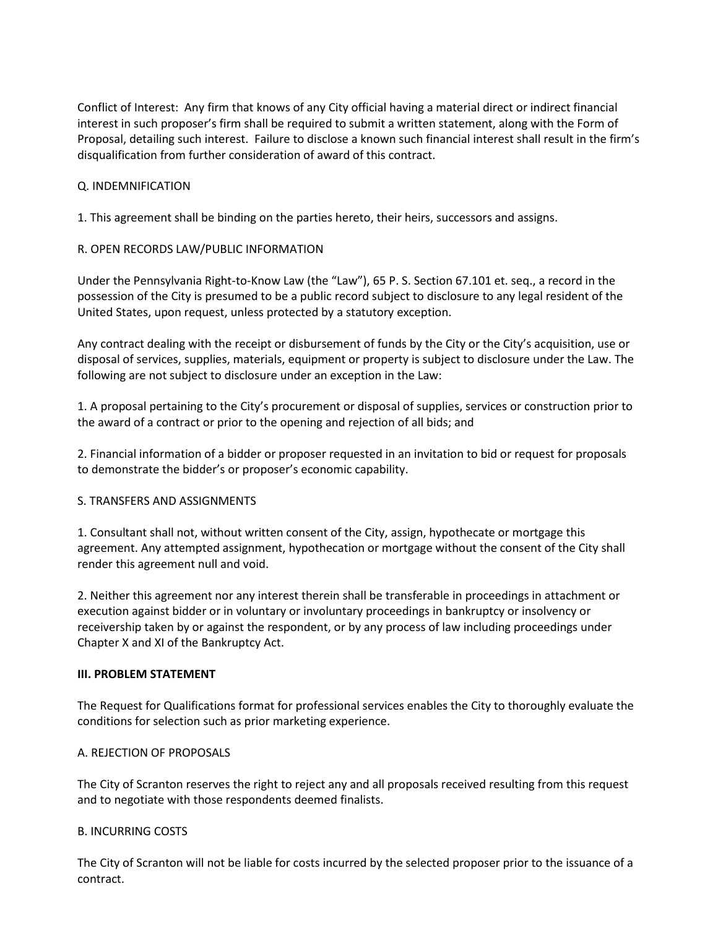Conflict of Interest: Any firm that knows of any City official having a material direct or indirect financial interest in such proposer's firm shall be required to submit a written statement, along with the Form of Proposal, detailing such interest. Failure to disclose a known such financial interest shall result in the firm's disqualification from further consideration of award of this contract.

# Q. INDEMNIFICATION

1. This agreement shall be binding on the parties hereto, their heirs, successors and assigns.

# R. OPEN RECORDS LAW/PUBLIC INFORMATION

Under the Pennsylvania Right-to-Know Law (the "Law"), 65 P. S. Section 67.101 et. seq., a record in the possession of the City is presumed to be a public record subject to disclosure to any legal resident of the United States, upon request, unless protected by a statutory exception.

Any contract dealing with the receipt or disbursement of funds by the City or the City's acquisition, use or disposal of services, supplies, materials, equipment or property is subject to disclosure under the Law. The following are not subject to disclosure under an exception in the Law:

1. A proposal pertaining to the City's procurement or disposal of supplies, services or construction prior to the award of a contract or prior to the opening and rejection of all bids; and

2. Financial information of a bidder or proposer requested in an invitation to bid or request for proposals to demonstrate the bidder's or proposer's economic capability.

### S. TRANSFERS AND ASSIGNMENTS

1. Consultant shall not, without written consent of the City, assign, hypothecate or mortgage this agreement. Any attempted assignment, hypothecation or mortgage without the consent of the City shall render this agreement null and void.

2. Neither this agreement nor any interest therein shall be transferable in proceedings in attachment or execution against bidder or in voluntary or involuntary proceedings in bankruptcy or insolvency or receivership taken by or against the respondent, or by any process of law including proceedings under Chapter X and XI of the Bankruptcy Act.

### **III. PROBLEM STATEMENT**

The Request for Qualifications format for professional services enables the City to thoroughly evaluate the conditions for selection such as prior marketing experience.

# A. REJECTION OF PROPOSALS

The City of Scranton reserves the right to reject any and all proposals received resulting from this request and to negotiate with those respondents deemed finalists.

### B. INCURRING COSTS

The City of Scranton will not be liable for costs incurred by the selected proposer prior to the issuance of a contract.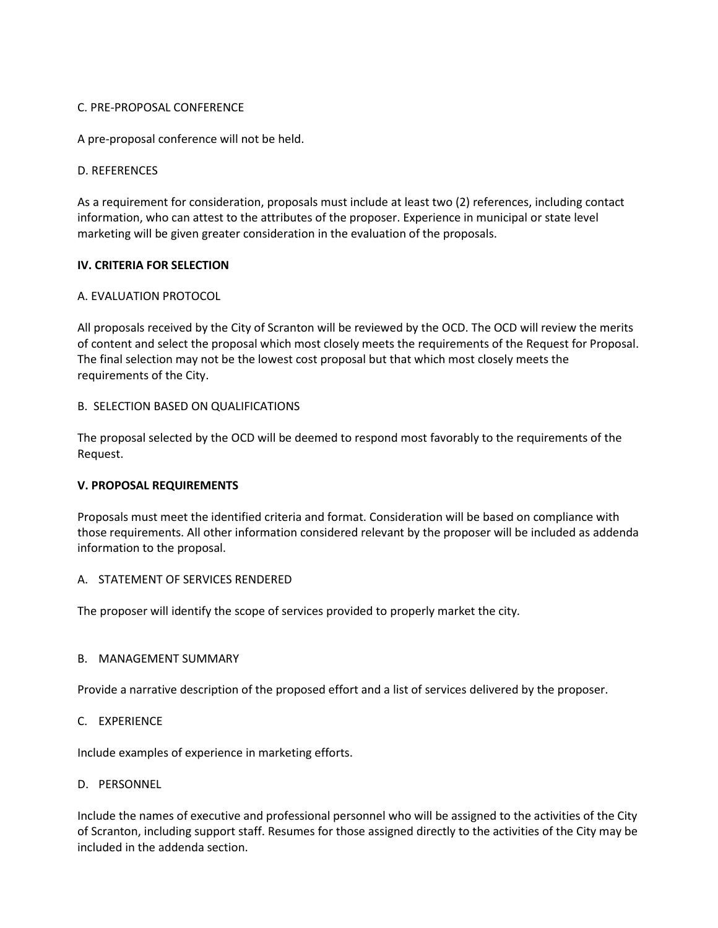## C. PRE-PROPOSAL CONFERENCE

A pre-proposal conference will not be held.

# D. REFERENCES

As a requirement for consideration, proposals must include at least two (2) references, including contact information, who can attest to the attributes of the proposer. Experience in municipal or state level marketing will be given greater consideration in the evaluation of the proposals.

# **IV. CRITERIA FOR SELECTION**

# A. EVALUATION PROTOCOL

All proposals received by the City of Scranton will be reviewed by the OCD. The OCD will review the merits of content and select the proposal which most closely meets the requirements of the Request for Proposal. The final selection may not be the lowest cost proposal but that which most closely meets the requirements of the City.

# B. SELECTION BASED ON QUALIFICATIONS

The proposal selected by the OCD will be deemed to respond most favorably to the requirements of the Request.

### **V. PROPOSAL REQUIREMENTS**

Proposals must meet the identified criteria and format. Consideration will be based on compliance with those requirements. All other information considered relevant by the proposer will be included as addenda information to the proposal.

### A. STATEMENT OF SERVICES RENDERED

The proposer will identify the scope of services provided to properly market the city*.*

### B. MANAGEMENT SUMMARY

Provide a narrative description of the proposed effort and a list of services delivered by the proposer.

## C. EXPERIENCE

Include examples of experience in marketing efforts.

### D. PERSONNEL

Include the names of executive and professional personnel who will be assigned to the activities of the City of Scranton, including support staff. Resumes for those assigned directly to the activities of the City may be included in the addenda section.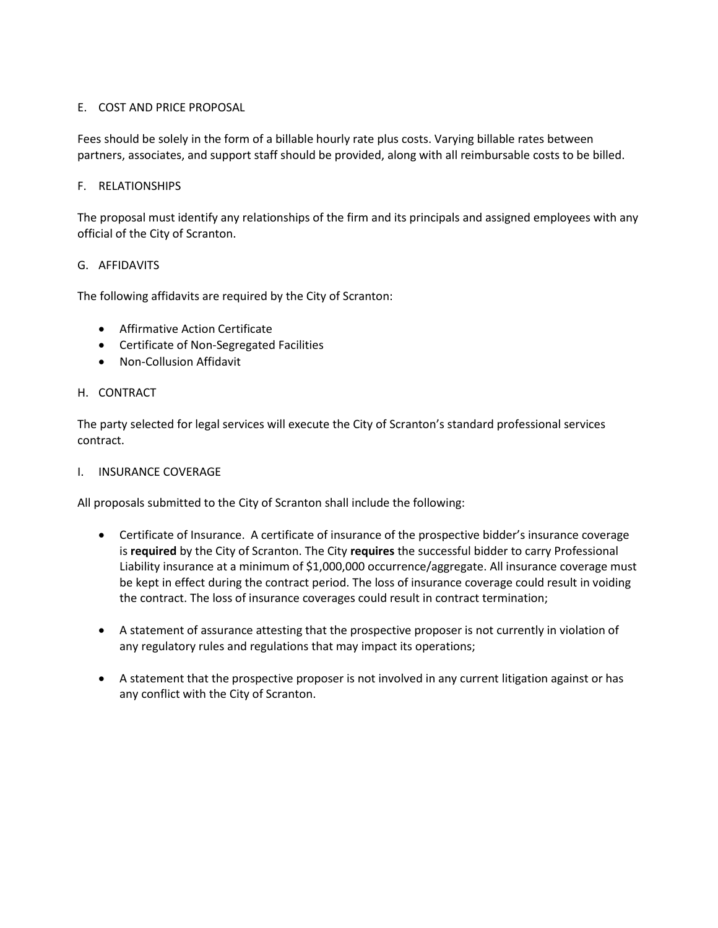# E. COST AND PRICE PROPOSAL

Fees should be solely in the form of a billable hourly rate plus costs. Varying billable rates between partners, associates, and support staff should be provided, along with all reimbursable costs to be billed.

# F. RELATIONSHIPS

The proposal must identify any relationships of the firm and its principals and assigned employees with any official of the City of Scranton.

# G. AFFIDAVITS

The following affidavits are required by the City of Scranton:

- Affirmative Action Certificate
- Certificate of Non-Segregated Facilities
- Non-Collusion Affidavit

# H. CONTRACT

The party selected for legal services will execute the City of Scranton's standard professional services contract.

### I. INSURANCE COVERAGE

All proposals submitted to the City of Scranton shall include the following:

- Certificate of Insurance. A certificate of insurance of the prospective bidder's insurance coverage is **required** by the City of Scranton. The City **requires** the successful bidder to carry Professional Liability insurance at a minimum of \$1,000,000 occurrence/aggregate. All insurance coverage must be kept in effect during the contract period. The loss of insurance coverage could result in voiding the contract. The loss of insurance coverages could result in contract termination;
- A statement of assurance attesting that the prospective proposer is not currently in violation of any regulatory rules and regulations that may impact its operations;
- A statement that the prospective proposer is not involved in any current litigation against or has any conflict with the City of Scranton.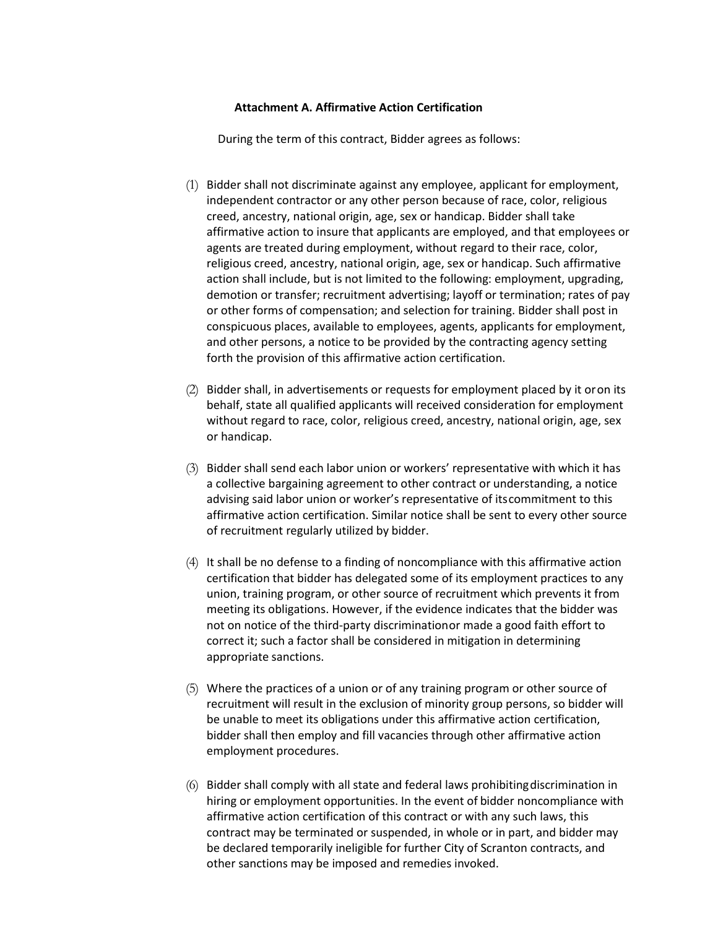#### **Attachment A. Affirmative Action Certification**

During the term of this contract, Bidder agrees as follows:

- (1) Bidder shall not discriminate against any employee, applicant for employment, independent contractor or any other person because of race, color, religious creed, ancestry, national origin, age, sex or handicap. Bidder shall take affirmative action to insure that applicants are employed, and that employees or agents are treated during employment, without regard to their race, color, religious creed, ancestry, national origin, age, sex or handicap. Such affirmative action shall include, but is not limited to the following: employment, upgrading, demotion or transfer; recruitment advertising; layoff or termination; rates of pay or other forms of compensation; and selection for training. Bidder shall post in conspicuous places, available to employees, agents, applicants for employment, and other persons, a notice to be provided by the contracting agency setting forth the provision of this affirmative action certification.
- (2) Bidder shall, in advertisements or requests for employment placed by it oron its behalf, state all qualified applicants will received consideration for employment without regard to race, color, religious creed, ancestry, national origin, age, sex or handicap.
- (3) Bidder shall send each labor union or workers' representative with which it has a collective bargaining agreement to other contract or understanding, a notice advising said labor union or worker's representative of itscommitment to this affirmative action certification. Similar notice shall be sent to every other source of recruitment regularly utilized by bidder.
- (4) It shall be no defense to a finding of noncompliance with this affirmative action certification that bidder has delegated some of its employment practices to any union, training program, or other source of recruitment which prevents it from meeting its obligations. However, if the evidence indicates that the bidder was not on notice of the third-party discriminationor made a good faith effort to correct it; such a factor shall be considered in mitigation in determining appropriate sanctions.
- (5) Where the practices of a union or of any training program or other source of recruitment will result in the exclusion of minority group persons, so bidder will be unable to meet its obligations under this affirmative action certification, bidder shall then employ and fill vacancies through other affirmative action employment procedures.
- (6) Bidder shall comply with all state and federal laws prohibitingdiscrimination in hiring or employment opportunities. In the event of bidder noncompliance with affirmative action certification of this contract or with any such laws, this contract may be terminated or suspended, in whole or in part, and bidder may be declared temporarily ineligible for further City of Scranton contracts, and other sanctions may be imposed and remedies invoked.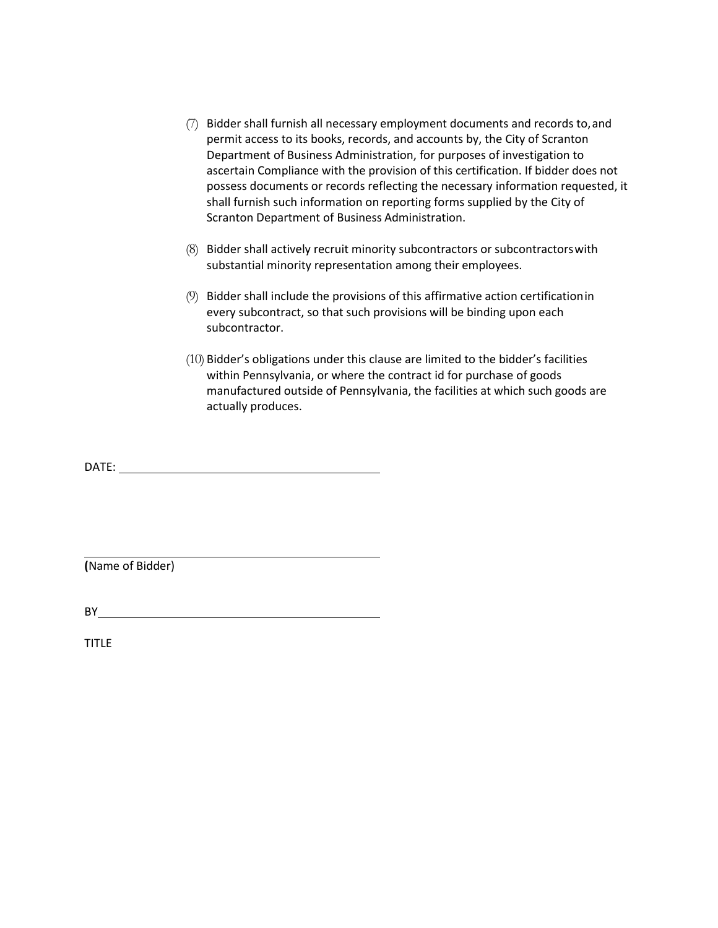- (7) Bidder shall furnish all necessary employment documents and records to,and permit access to its books, records, and accounts by, the City of Scranton Department of Business Administration, for purposes of investigation to ascertain Compliance with the provision of this certification. If bidder does not possess documents or records reflecting the necessary information requested, it shall furnish such information on reporting forms supplied by the City of Scranton Department of Business Administration.
- (8) Bidder shall actively recruit minority subcontractors or subcontractorswith substantial minority representation among their employees.
- (9) Bidder shall include the provisions of this affirmative action certificationin every subcontract, so that such provisions will be binding upon each subcontractor.
- (10) Bidder's obligations under this clause are limited to the bidder's facilities within Pennsylvania, or where the contract id for purchase of goods manufactured outside of Pennsylvania, the facilities at which such goods are actually produces.

DATE:

**(**Name of Bidder)

BY **EXECUTIVE STATE** 

TITLE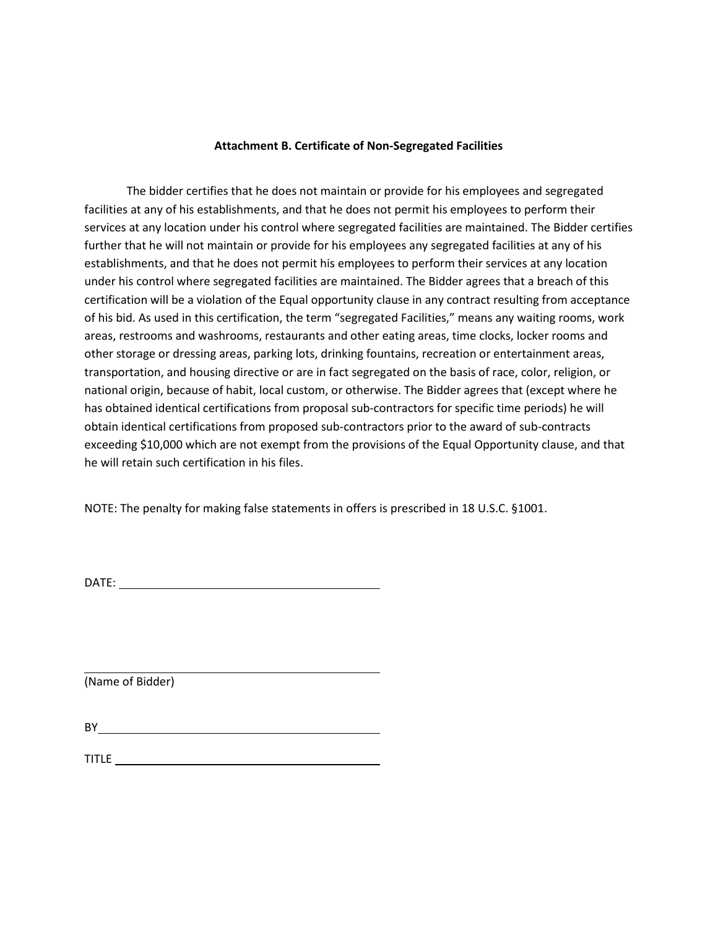#### **Attachment B. Certificate of Non-Segregated Facilities**

The bidder certifies that he does not maintain or provide for his employees and segregated facilities at any of his establishments, and that he does not permit his employees to perform their services at any location under his control where segregated facilities are maintained. The Bidder certifies further that he will not maintain or provide for his employees any segregated facilities at any of his establishments, and that he does not permit his employees to perform their services at any location under his control where segregated facilities are maintained. The Bidder agrees that a breach of this certification will be a violation of the Equal opportunity clause in any contract resulting from acceptance of his bid. As used in this certification, the term "segregated Facilities," means any waiting rooms, work areas, restrooms and washrooms, restaurants and other eating areas, time clocks, locker rooms and other storage or dressing areas, parking lots, drinking fountains, recreation or entertainment areas, transportation, and housing directive or are in fact segregated on the basis of race, color, religion, or national origin, because of habit, local custom, or otherwise. The Bidder agrees that (except where he has obtained identical certifications from proposal sub-contractors for specific time periods) he will obtain identical certifications from proposed sub-contractors prior to the award of sub-contracts exceeding \$10,000 which are not exempt from the provisions of the Equal Opportunity clause, and that he will retain such certification in his files.

NOTE: The penalty for making false statements in offers is prescribed in 18 U.S.C. §1001.

DATE:

(Name of Bidder)

BY

TITLE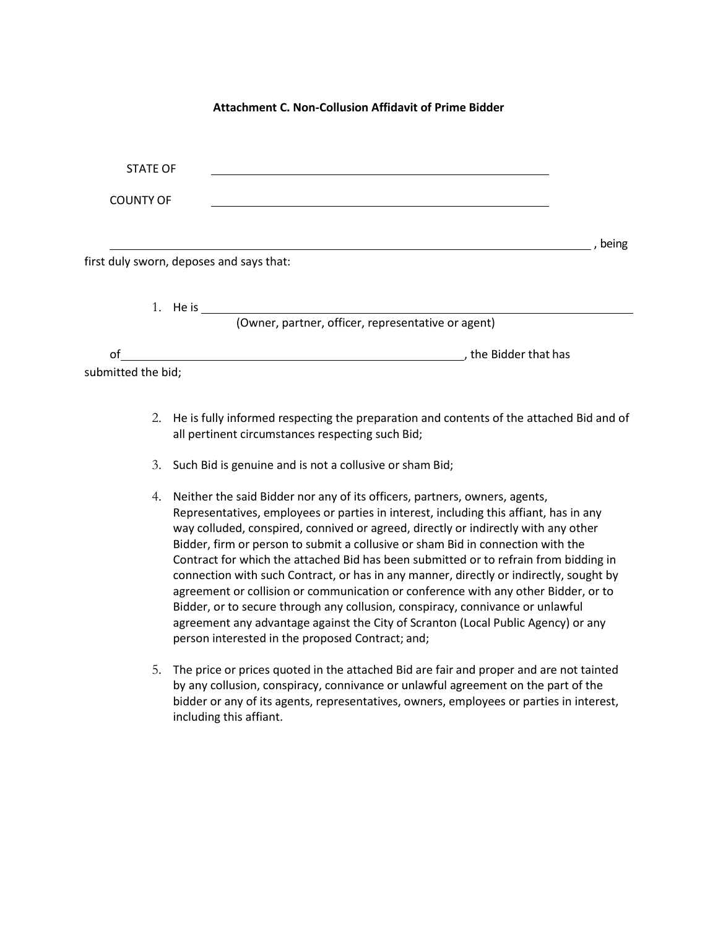#### **Attachment C. Non-Collusion Affidavit of Prime Bidder**

| <b>STATE OF</b>                          |                                                                                    |         |
|------------------------------------------|------------------------------------------------------------------------------------|---------|
| <b>COUNTY OF</b>                         |                                                                                    |         |
|                                          |                                                                                    | , being |
| first duly sworn, deposes and says that: |                                                                                    |         |
|                                          |                                                                                    |         |
|                                          | (Owner, partner, officer, representative or agent)                                 |         |
| of                                       | the Bidder that has<br><u> 1989 - Johann Stein, Amerikaansk politiker (* 1908)</u> |         |
| submitted the bid;                       |                                                                                    |         |
|                                          |                                                                                    |         |

- 2. He is fully informed respecting the preparation and contents of the attached Bid and of all pertinent circumstances respecting such Bid;
- 3. Such Bid is genuine and is not a collusive or sham Bid;
- 4. Neither the said Bidder nor any of its officers, partners, owners, agents, Representatives, employees or parties in interest, including this affiant, has in any way colluded, conspired, connived or agreed, directly or indirectly with any other Bidder, firm or person to submit a collusive or sham Bid in connection with the Contract for which the attached Bid has been submitted or to refrain from bidding in connection with such Contract, or has in any manner, directly or indirectly, sought by agreement or collision or communication or conference with any other Bidder, or to Bidder, or to secure through any collusion, conspiracy, connivance or unlawful agreement any advantage against the City of Scranton (Local Public Agency) or any person interested in the proposed Contract; and;
- 5. The price or prices quoted in the attached Bid are fair and proper and are not tainted by any collusion, conspiracy, connivance or unlawful agreement on the part of the bidder or any of its agents, representatives, owners, employees or parties in interest, including this affiant.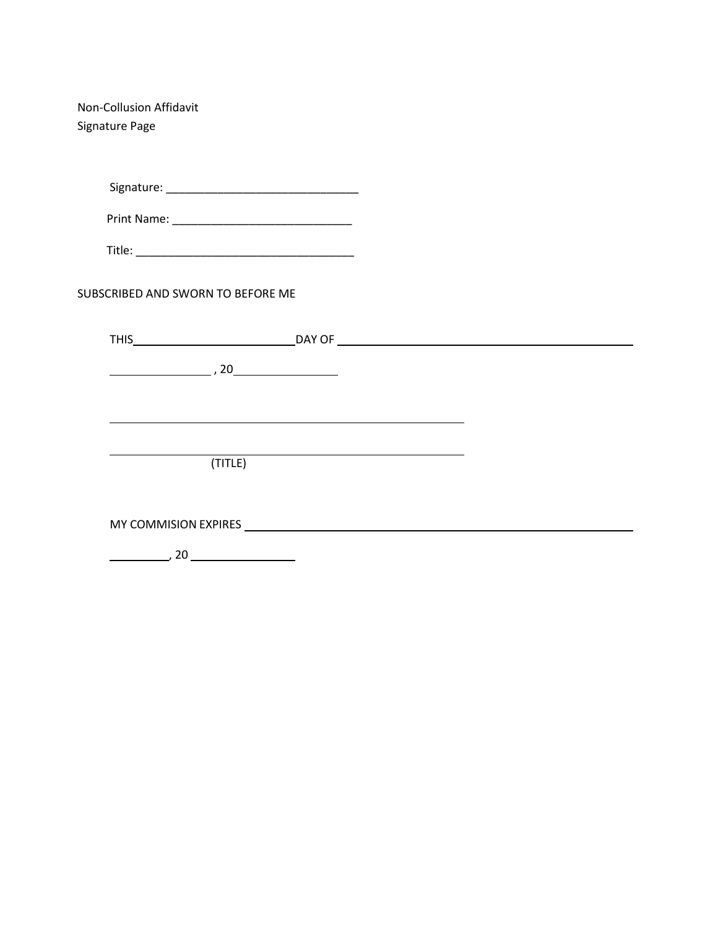Non-Collusion Affidavit Signature Page

Signature: \_\_\_\_\_\_\_\_\_\_\_\_\_\_\_\_\_\_\_\_\_\_\_\_\_\_\_\_\_\_

Print Name: \_\_\_\_\_\_\_\_\_\_\_\_\_\_\_\_\_\_\_\_\_\_\_\_\_\_\_\_

Title: \_\_\_\_\_\_\_\_\_\_\_\_\_\_\_\_\_\_\_\_\_\_\_\_\_\_\_\_\_\_\_\_\_\_

SUBSCRIBED AND SWORN TO BEFORE ME

| <b>THIS</b>                                                                                                    |  |
|----------------------------------------------------------------------------------------------------------------|--|
| $\sim$ , 20                                                                                                    |  |
|                                                                                                                |  |
|                                                                                                                |  |
| (TITLE)                                                                                                        |  |
|                                                                                                                |  |
| MY COMMISION EXPIRES AND THE SERVICE SERVICE SERVICE SERVICE SERVICE SERVICE SERVICE SERVICE SERVICE SERVICE S |  |
| 20                                                                                                             |  |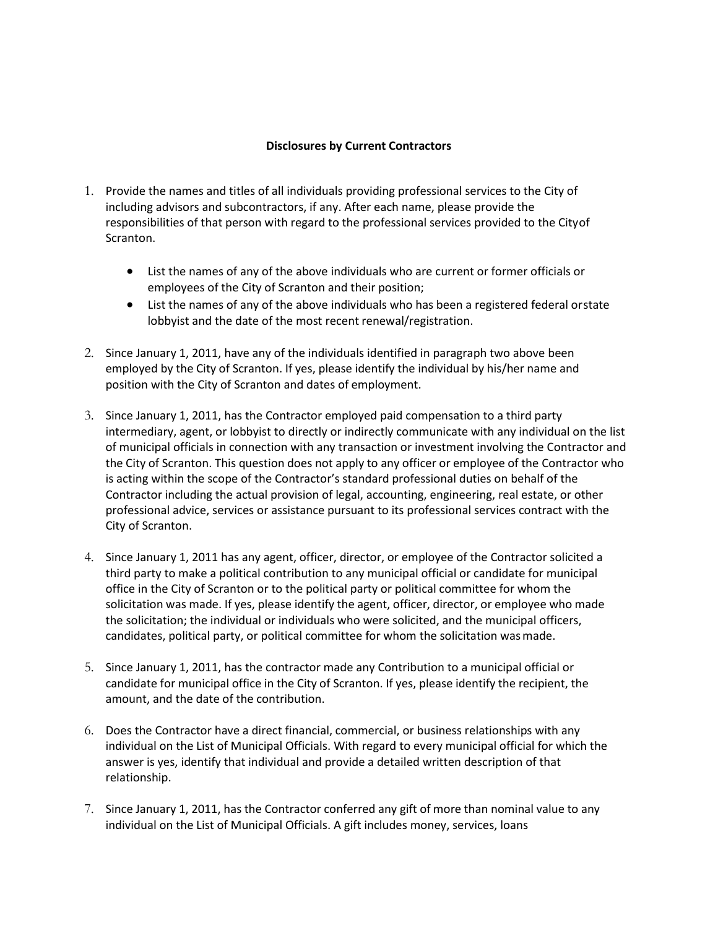# **Disclosures by Current Contractors**

- 1. Provide the names and titles of all individuals providing professional services to the City of including advisors and subcontractors, if any. After each name, please provide the responsibilities of that person with regard to the professional services provided to the Cityof Scranton.
	- List the names of any of the above individuals who are current or former officials or employees of the City of Scranton and their position;
	- List the names of any of the above individuals who has been a registered federal orstate lobbyist and the date of the most recent renewal/registration.
- 2. Since January 1, 2011, have any of the individuals identified in paragraph two above been employed by the City of Scranton. If yes, please identify the individual by his/her name and position with the City of Scranton and dates of employment.
- 3. Since January 1, 2011, has the Contractor employed paid compensation to a third party intermediary, agent, or lobbyist to directly or indirectly communicate with any individual on the list of municipal officials in connection with any transaction or investment involving the Contractor and the City of Scranton. This question does not apply to any officer or employee of the Contractor who is acting within the scope of the Contractor's standard professional duties on behalf of the Contractor including the actual provision of legal, accounting, engineering, real estate, or other professional advice, services or assistance pursuant to its professional services contract with the City of Scranton.
- 4. Since January 1, 2011 has any agent, officer, director, or employee of the Contractor solicited a third party to make a political contribution to any municipal official or candidate for municipal office in the City of Scranton or to the political party or political committee for whom the solicitation was made. If yes, please identify the agent, officer, director, or employee who made the solicitation; the individual or individuals who were solicited, and the municipal officers, candidates, political party, or political committee for whom the solicitation wasmade.
- 5. Since January 1, 2011, has the contractor made any Contribution to a municipal official or candidate for municipal office in the City of Scranton. If yes, please identify the recipient, the amount, and the date of the contribution.
- 6. Does the Contractor have a direct financial, commercial, or business relationships with any individual on the List of Municipal Officials. With regard to every municipal official for which the answer is yes, identify that individual and provide a detailed written description of that relationship.
- 7. Since January 1, 2011, has the Contractor conferred any gift of more than nominal value to any individual on the List of Municipal Officials. A gift includes money, services, loans